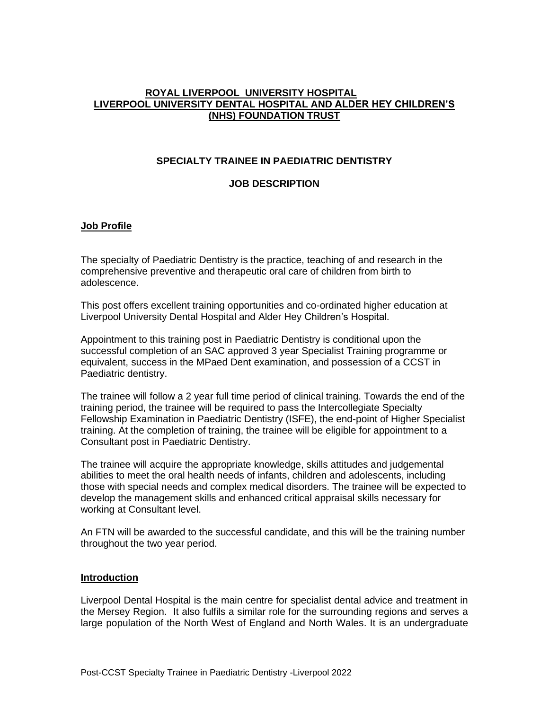#### **ROYAL LIVERPOOL UNIVERSITY HOSPITAL LIVERPOOL UNIVERSITY DENTAL HOSPITAL AND ALDER HEY CHILDREN'S (NHS) FOUNDATION TRUST**

#### **SPECIALTY TRAINEE IN PAEDIATRIC DENTISTRY**

#### **JOB DESCRIPTION**

### **Job Profile**

The specialty of Paediatric Dentistry is the practice, teaching of and research in the comprehensive preventive and therapeutic oral care of children from birth to adolescence.

This post offers excellent training opportunities and co-ordinated higher education at Liverpool University Dental Hospital and Alder Hey Children's Hospital.

Appointment to this training post in Paediatric Dentistry is conditional upon the successful completion of an SAC approved 3 year Specialist Training programme or equivalent, success in the MPaed Dent examination, and possession of a CCST in Paediatric dentistry.

The trainee will follow a 2 year full time period of clinical training. Towards the end of the training period, the trainee will be required to pass the Intercollegiate Specialty Fellowship Examination in Paediatric Dentistry (ISFE), the end-point of Higher Specialist training. At the completion of training, the trainee will be eligible for appointment to a Consultant post in Paediatric Dentistry.

The trainee will acquire the appropriate knowledge, skills attitudes and judgemental abilities to meet the oral health needs of infants, children and adolescents, including those with special needs and complex medical disorders. The trainee will be expected to develop the management skills and enhanced critical appraisal skills necessary for working at Consultant level.

An FTN will be awarded to the successful candidate, and this will be the training number throughout the two year period.

#### **Introduction**

Liverpool Dental Hospital is the main centre for specialist dental advice and treatment in the Mersey Region. It also fulfils a similar role for the surrounding regions and serves a large population of the North West of England and North Wales. It is an undergraduate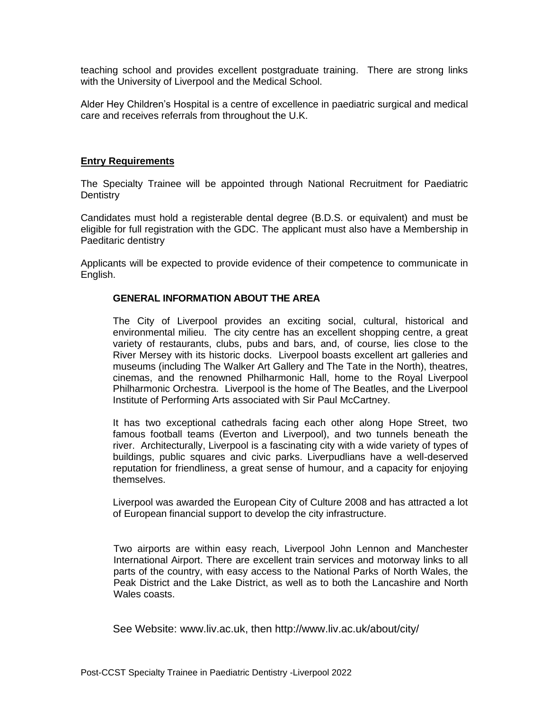teaching school and provides excellent postgraduate training. There are strong links with the University of Liverpool and the Medical School.

Alder Hey Children's Hospital is a centre of excellence in paediatric surgical and medical care and receives referrals from throughout the U.K.

#### **Entry Requirements**

The Specialty Trainee will be appointed through National Recruitment for Paediatric **Dentistry** 

Candidates must hold a registerable dental degree (B.D.S. or equivalent) and must be eligible for full registration with the GDC. The applicant must also have a Membership in Paeditaric dentistry

Applicants will be expected to provide evidence of their competence to communicate in English.

#### **GENERAL INFORMATION ABOUT THE AREA**

The City of Liverpool provides an exciting social, cultural, historical and environmental milieu. The city centre has an excellent shopping centre, a great variety of restaurants, clubs, pubs and bars, and, of course, lies close to the River Mersey with its historic docks. Liverpool boasts excellent art galleries and museums (including The Walker Art Gallery and The Tate in the North), theatres, cinemas, and the renowned Philharmonic Hall, home to the Royal Liverpool Philharmonic Orchestra. Liverpool is the home of The Beatles, and the Liverpool Institute of Performing Arts associated with Sir Paul McCartney.

It has two exceptional cathedrals facing each other along Hope Street, two famous football teams (Everton and Liverpool), and two tunnels beneath the river. Architecturally, Liverpool is a fascinating city with a wide variety of types of buildings, public squares and civic parks. Liverpudlians have a well-deserved reputation for friendliness, a great sense of humour, and a capacity for enjoying themselves.

Liverpool was awarded the European City of Culture 2008 and has attracted a lot of European financial support to develop the city infrastructure.

Two airports are within easy reach, Liverpool John Lennon and Manchester International Airport. There are excellent train services and motorway links to all parts of the country, with easy access to the National Parks of North Wales, the Peak District and the Lake District, as well as to both the Lancashire and North Wales coasts.

See Website: [www.liv.ac.uk,](http://www.liv.ac.uk/) then<http://www.liv.ac.uk/about/city/>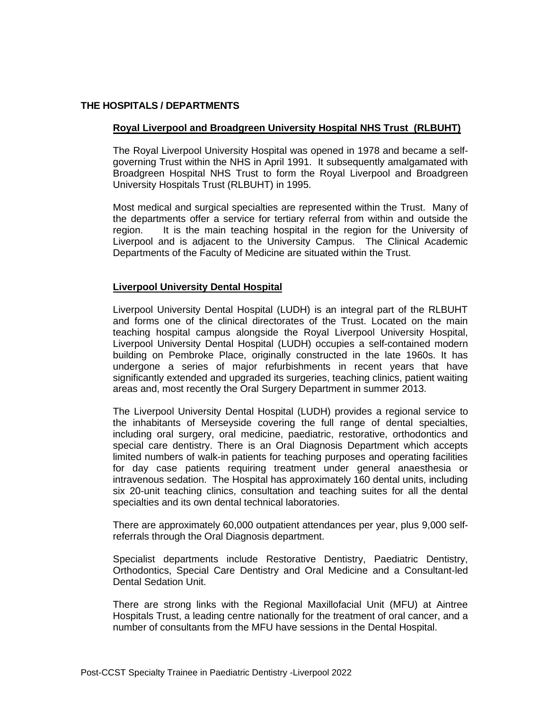## **THE HOSPITALS / DEPARTMENTS**

## **Royal Liverpool and Broadgreen University Hospital NHS Trust (RLBUHT)**

The Royal Liverpool University Hospital was opened in 1978 and became a selfgoverning Trust within the NHS in April 1991. It subsequently amalgamated with Broadgreen Hospital NHS Trust to form the Royal Liverpool and Broadgreen University Hospitals Trust (RLBUHT) in 1995.

Most medical and surgical specialties are represented within the Trust. Many of the departments offer a service for tertiary referral from within and outside the region. It is the main teaching hospital in the region for the University of Liverpool and is adjacent to the University Campus. The Clinical Academic Departments of the Faculty of Medicine are situated within the Trust.

### **Liverpool University Dental Hospital**

Liverpool University Dental Hospital (LUDH) is an integral part of the RLBUHT and forms one of the clinical directorates of the Trust. Located on the main teaching hospital campus alongside the Royal Liverpool University Hospital, Liverpool University Dental Hospital (LUDH) occupies a self-contained modern building on Pembroke Place, originally constructed in the late 1960s. It has undergone a series of major refurbishments in recent years that have significantly extended and upgraded its surgeries, teaching clinics, patient waiting areas and, most recently the Oral Surgery Department in summer 2013.

The Liverpool University Dental Hospital (LUDH) provides a regional service to the inhabitants of Merseyside covering the full range of dental specialties, including oral surgery, oral medicine, paediatric, restorative, orthodontics and special care dentistry. There is an Oral Diagnosis Department which accepts limited numbers of walk-in patients for teaching purposes and operating facilities for day case patients requiring treatment under general anaesthesia or intravenous sedation. The Hospital has approximately 160 dental units, including six 20-unit teaching clinics, consultation and teaching suites for all the dental specialties and its own dental technical laboratories.

There are approximately 60,000 outpatient attendances per year, plus 9,000 selfreferrals through the Oral Diagnosis department.

Specialist departments include Restorative Dentistry, Paediatric Dentistry, Orthodontics, Special Care Dentistry and Oral Medicine and a Consultant-led Dental Sedation Unit.

There are strong links with the Regional Maxillofacial Unit (MFU) at Aintree Hospitals Trust, a leading centre nationally for the treatment of oral cancer, and a number of consultants from the MFU have sessions in the Dental Hospital.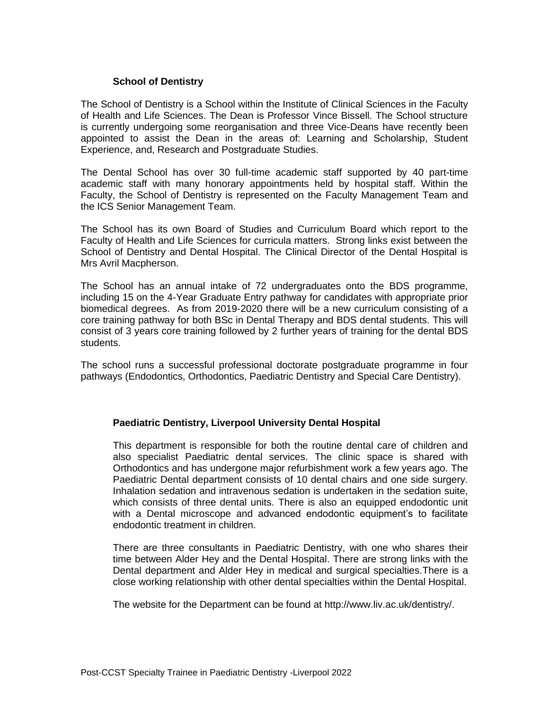### **School of Dentistry**

The School of Dentistry is a School within the Institute of Clinical Sciences in the Faculty of Health and Life Sciences. The Dean is Professor Vince Bissell. The School structure is currently undergoing some reorganisation and three Vice-Deans have recently been appointed to assist the Dean in the areas of: Learning and Scholarship, Student Experience, and, Research and Postgraduate Studies.

The Dental School has over 30 full-time academic staff supported by 40 part-time academic staff with many honorary appointments held by hospital staff. Within the Faculty, the School of Dentistry is represented on the Faculty Management Team and the ICS Senior Management Team.

The School has its own Board of Studies and Curriculum Board which report to the Faculty of Health and Life Sciences for curricula matters. Strong links exist between the School of Dentistry and Dental Hospital. The Clinical Director of the Dental Hospital is Mrs Avril Macpherson.

The School has an annual intake of 72 undergraduates onto the BDS programme, including 15 on the 4-Year Graduate Entry pathway for candidates with appropriate prior biomedical degrees. As from 2019-2020 there will be a new curriculum consisting of a core training pathway for both BSc in Dental Therapy and BDS dental students. This will consist of 3 years core training followed by 2 further years of training for the dental BDS students.

The school runs a successful professional doctorate postgraduate programme in four pathways (Endodontics, Orthodontics, Paediatric Dentistry and Special Care Dentistry).

#### **Paediatric Dentistry, Liverpool University Dental Hospital**

This department is responsible for both the routine dental care of children and also specialist Paediatric dental services. The clinic space is shared with Orthodontics and has undergone major refurbishment work a few years ago. The Paediatric Dental department consists of 10 dental chairs and one side surgery. Inhalation sedation and intravenous sedation is undertaken in the sedation suite, which consists of three dental units. There is also an equipped endodontic unit with a Dental microscope and advanced endodontic equipment's to facilitate endodontic treatment in children.

There are three consultants in Paediatric Dentistry, with one who shares their time between Alder Hey and the Dental Hospital. There are strong links with the Dental department and Alder Hey in medical and surgical specialties.There is a close working relationship with other dental specialties within the Dental Hospital.

The website for the Department can be found at [http://www.liv.ac.uk/dentistry/.](http://www.liv.ac.uk/dentistry/)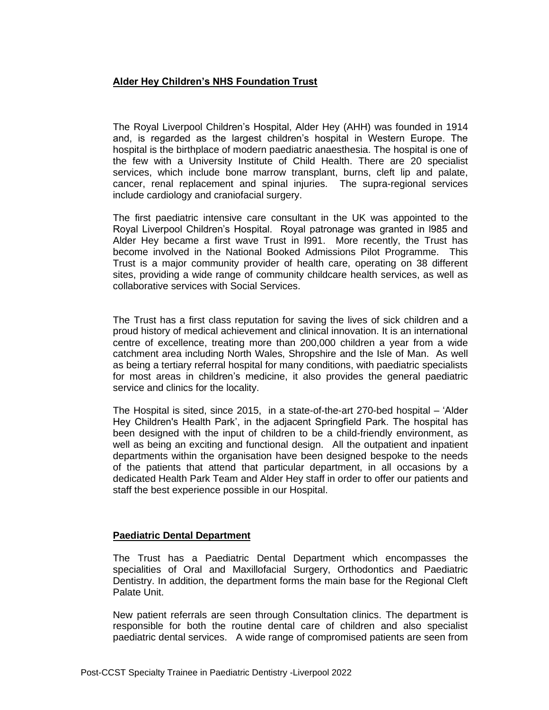## **Alder Hey Children's NHS Foundation Trust**

The Royal Liverpool Children's Hospital, Alder Hey (AHH) was founded in 1914 and, is regarded as the largest children's hospital in Western Europe. The hospital is the birthplace of modern paediatric anaesthesia. The hospital is one of the few with a University Institute of Child Health. There are 20 specialist services, which include bone marrow transplant, burns, cleft lip and palate, cancer, renal replacement and spinal injuries. The supra-regional services include cardiology and craniofacial surgery.

The first paediatric intensive care consultant in the UK was appointed to the Royal Liverpool Children's Hospital. Royal patronage was granted in l985 and Alder Hey became a first wave Trust in l991. More recently, the Trust has become involved in the National Booked Admissions Pilot Programme. This Trust is a major community provider of health care, operating on 38 different sites, providing a wide range of community childcare health services, as well as collaborative services with Social Services.

The Trust has a first class reputation for saving the lives of sick children and a proud history of medical achievement and clinical innovation. It is an international centre of excellence, treating more than 200,000 children a year from a wide catchment area including North Wales, Shropshire and the Isle of Man. As well as being a tertiary referral hospital for many conditions, with paediatric specialists for most areas in children's medicine, it also provides the general paediatric service and clinics for the locality.

The Hospital is sited, since 2015, in a state-of-the-art 270-bed hospital – 'Alder Hey Children's Health Park', in the adjacent Springfield Park. The hospital has been designed with the input of children to be a child-friendly environment, as well as being an exciting and functional design. All the outpatient and inpatient departments within the organisation have been designed bespoke to the needs of the patients that attend that particular department, in all occasions by a dedicated Health Park Team and Alder Hey staff in order to offer our patients and staff the best experience possible in our Hospital.

## **Paediatric Dental Department**

The Trust has a Paediatric Dental Department which encompasses the specialities of Oral and Maxillofacial Surgery, Orthodontics and Paediatric Dentistry. In addition, the department forms the main base for the Regional Cleft Palate Unit.

New patient referrals are seen through Consultation clinics. The department is responsible for both the routine dental care of children and also specialist paediatric dental services. A wide range of compromised patients are seen from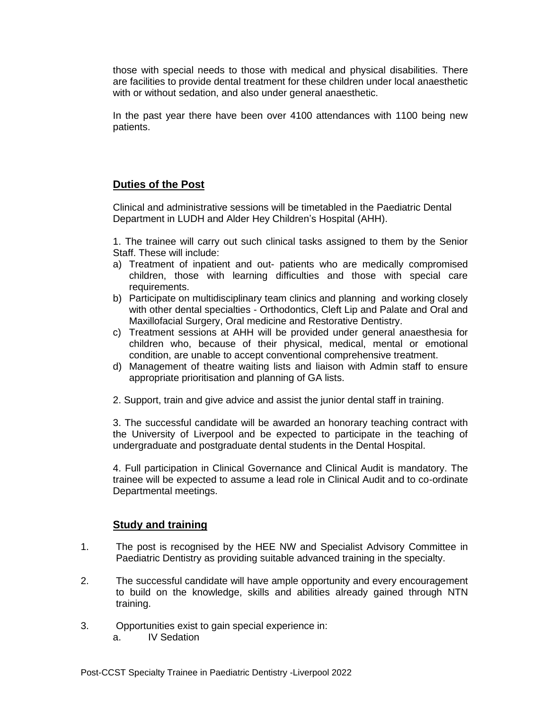those with special needs to those with medical and physical disabilities. There are facilities to provide dental treatment for these children under local anaesthetic with or without sedation, and also under general anaesthetic.

In the past year there have been over 4100 attendances with 1100 being new patients.

# **Duties of the Post**

Clinical and administrative sessions will be timetabled in the Paediatric Dental Department in LUDH and Alder Hey Children's Hospital (AHH).

1. The trainee will carry out such clinical tasks assigned to them by the Senior Staff. These will include:

- a) Treatment of inpatient and out- patients who are medically compromised children, those with learning difficulties and those with special care requirements.
- b) Participate on multidisciplinary team clinics and planning and working closely with other dental specialties - Orthodontics, Cleft Lip and Palate and Oral and Maxillofacial Surgery, Oral medicine and Restorative Dentistry.
- c) Treatment sessions at AHH will be provided under general anaesthesia for children who, because of their physical, medical, mental or emotional condition, are unable to accept conventional comprehensive treatment.
- d) Management of theatre waiting lists and liaison with Admin staff to ensure appropriate prioritisation and planning of GA lists.
- 2. Support, train and give advice and assist the junior dental staff in training.

3. The successful candidate will be awarded an honorary teaching contract with the University of Liverpool and be expected to participate in the teaching of undergraduate and postgraduate dental students in the Dental Hospital.

4. Full participation in Clinical Governance and Clinical Audit is mandatory. The trainee will be expected to assume a lead role in Clinical Audit and to co-ordinate Departmental meetings.

# **Study and training**

- 1. The post is recognised by the HEE NW and Specialist Advisory Committee in Paediatric Dentistry as providing suitable advanced training in the specialty.
- 2. The successful candidate will have ample opportunity and every encouragement to build on the knowledge, skills and abilities already gained through NTN training.
- 3. Opportunities exist to gain special experience in:
	- a. IV Sedation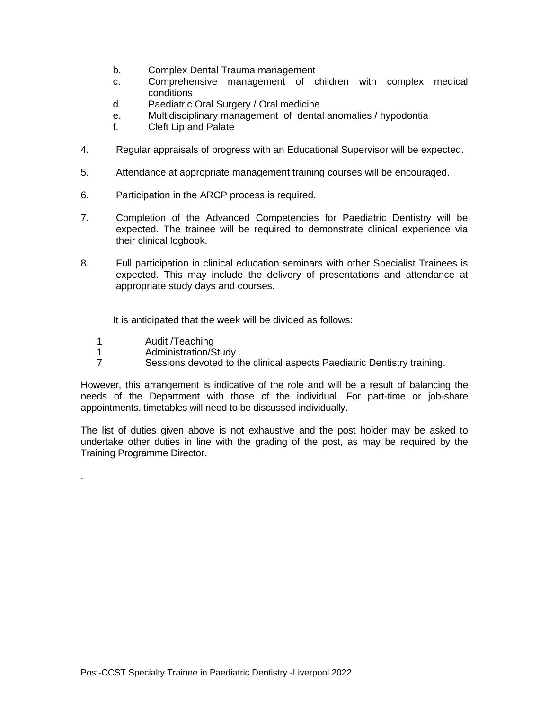- b. Complex Dental Trauma management
- c. Comprehensive management of children with complex medical conditions
- d. Paediatric Oral Surgery / Oral medicine
- e. Multidisciplinary management of dental anomalies / hypodontia
- f. Cleft Lip and Palate
- 4. Regular appraisals of progress with an Educational Supervisor will be expected.
- 5. Attendance at appropriate management training courses will be encouraged.
- 6. Participation in the ARCP process is required.
- 7. Completion of the Advanced Competencies for Paediatric Dentistry will be expected. The trainee will be required to demonstrate clinical experience via their clinical logbook.
- 8. Full participation in clinical education seminars with other Specialist Trainees is expected. This may include the delivery of presentations and attendance at appropriate study days and courses.

It is anticipated that the week will be divided as follows:

1 Audit /Teaching

.

- 1 Administration/Study .
- 7 Sessions devoted to the clinical aspects Paediatric Dentistry training.

However, this arrangement is indicative of the role and will be a result of balancing the needs of the Department with those of the individual. For part-time or job-share appointments, timetables will need to be discussed individually.

The list of duties given above is not exhaustive and the post holder may be asked to undertake other duties in line with the grading of the post, as may be required by the Training Programme Director.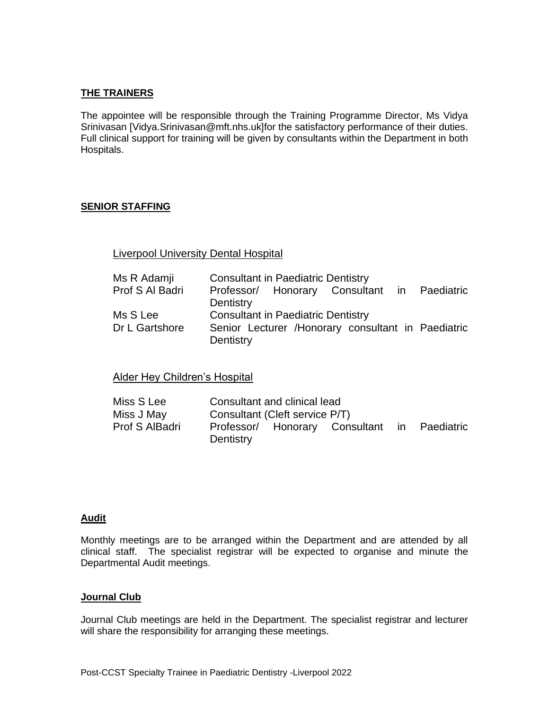## **THE TRAINERS**

The appointee will be responsible through the Training Programme Director, Ms Vidya Srinivasan [Vidya.Srinivasan@mft.nhs.uk]for the satisfactory performance of their duties. Full clinical support for training will be given by consultants within the Department in both Hospitals.

### **SENIOR STAFFING**

## Liverpool University Dental Hospital

| Ms R Adamji     | <b>Consultant in Paediatric Dentistry</b> |  |                                                     |  |  |  |
|-----------------|-------------------------------------------|--|-----------------------------------------------------|--|--|--|
| Prof S Al Badri |                                           |  | Professor/ Honorary Consultant in Paediatric        |  |  |  |
|                 | Dentistry                                 |  |                                                     |  |  |  |
| Ms S Lee        | <b>Consultant in Paediatric Dentistry</b> |  |                                                     |  |  |  |
| Dr L Gartshore  | Dentistry                                 |  | Senior Lecturer / Honorary consultant in Paediatric |  |  |  |

Alder Hey Children's Hospital

| Miss S Lee     | Consultant and clinical lead |                                |                                              |  |  |  |  |
|----------------|------------------------------|--------------------------------|----------------------------------------------|--|--|--|--|
| Miss J May     |                              | Consultant (Cleft service P/T) |                                              |  |  |  |  |
| Prof S AlBadri | Dentistry                    |                                | Professor/ Honorary Consultant in Paediatric |  |  |  |  |

#### **Audit**

Monthly meetings are to be arranged within the Department and are attended by all clinical staff. The specialist registrar will be expected to organise and minute the Departmental Audit meetings.

#### **Journal Club**

Journal Club meetings are held in the Department. The specialist registrar and lecturer will share the responsibility for arranging these meetings.